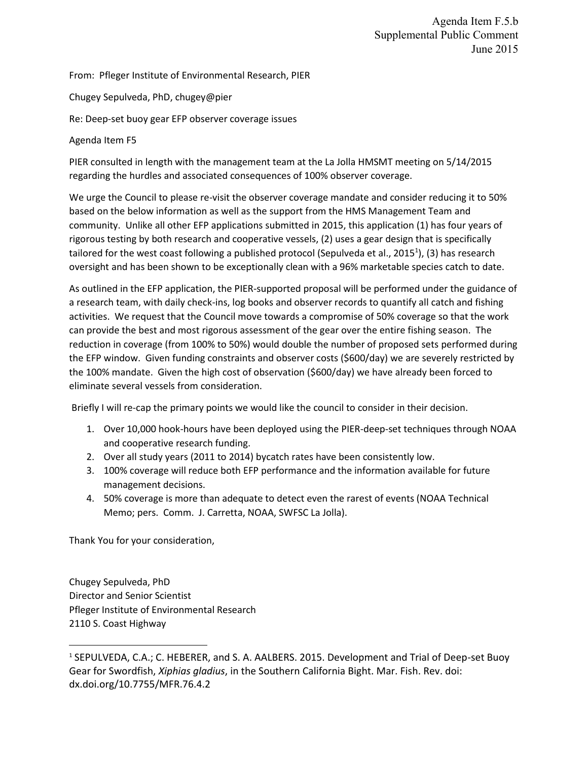Agenda Item F.5.b Supplemental Public Comment June 2015

From: Pfleger Institute of Environmental Research, PIER

Chugey Sepulveda, PhD, chugey@pier

Re: Deep-set buoy gear EFP observer coverage issues

Agenda Item F5

PIER consulted in length with the management team at the La Jolla HMSMT meeting on 5/14/2015 regarding the hurdles and associated consequences of 100% observer coverage.

We urge the Council to please re-visit the observer coverage mandate and consider reducing it to 50% based on the below information as well as the support from the HMS Management Team and community. Unlike all other EFP applications submitted in 2015, this application (1) has four years of rigorous testing by both research and cooperative vessels, (2) uses a gear design that is specifically tailored for the west coast following a published protocol (Sepulveda et al., 2015<sup>1</sup>), (3) has research oversight and has been shown to be exceptionally clean with a 96% marketable species catch to date.

As outlined in the EFP application, the PIER-supported proposal will be performed under the guidance of a research team, with daily check-ins, log books and observer records to quantify all catch and fishing activities. We request that the Council move towards a compromise of 50% coverage so that the work can provide the best and most rigorous assessment of the gear over the entire fishing season. The reduction in coverage (from 100% to 50%) would double the number of proposed sets performed during the EFP window. Given funding constraints and observer costs (\$600/day) we are severely restricted by the 100% mandate. Given the high cost of observation (\$600/day) we have already been forced to eliminate several vessels from consideration.

Briefly I will re-cap the primary points we would like the council to consider in their decision.

- 1. Over 10,000 hook-hours have been deployed using the PIER-deep-set techniques through NOAA and cooperative research funding.
- 2. Over all study years (2011 to 2014) bycatch rates have been consistently low.
- 3. 100% coverage will reduce both EFP performance and the information available for future management decisions.
- 4. 50% coverage is more than adequate to detect even the rarest of events (NOAA Technical Memo; pers. Comm. J. Carretta, NOAA, SWFSC La Jolla).

Thank You for your consideration,

 $\overline{\phantom{a}}$ 

Chugey Sepulveda, PhD Director and Senior Scientist Pfleger Institute of Environmental Research 2110 S. Coast Highway

<sup>1</sup> SEPULVEDA, C.A.; C. HEBERER, and S. A. AALBERS. 2015. Development and Trial of Deep-set Buoy Gear for Swordfish, *Xiphias gladius*, in the Southern California Bight. Mar. Fish. Rev. doi: dx.doi.org/10.7755/MFR.76.4.2